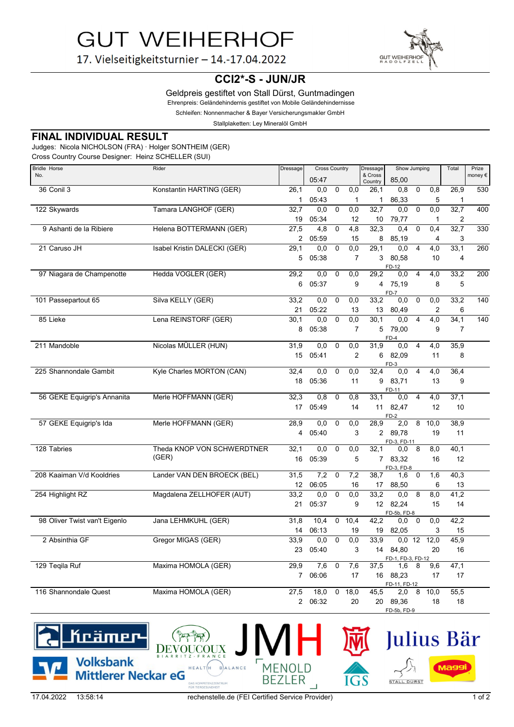**GUT WEIHERHOF** 

17. Vielseitigkeitsturnier - 14.-17.04.2022



**CCI2\*-S - JUN/JR**

Geldpreis gestiftet von Stall Dürst, Guntmadingen

Ehrenpreis: Geländehindernis gestiftet von Mobile Geländehindernisse

Schleifen: Nonnenmacher & Bayer Versicherungsmakler GmbH

Stallplaketten: Ley Mineralöl GmbH

## **FINAL INDIVIDUAL RESULT**

Judges: Nicola NICHOLSON (FRA) · Holger SONTHEIM (GER)

Cross Country Course Designer: Heinz SCHELLER (SUI)

| <b>Bridle Horse</b>           | Rider                        | Dressage        | <b>Cross Country</b> |             |                | Dressage           | Show Jumping          |                |                | Total          | Prize  |
|-------------------------------|------------------------------|-----------------|----------------------|-------------|----------------|--------------------|-----------------------|----------------|----------------|----------------|--------|
| No.                           |                              |                 | 05:47                |             |                | & Cross<br>Country | 85.00                 |                |                |                | money€ |
| 36 Conil 3                    | Konstantin HARTING (GER)     | 26,1            | 0.0                  | $\mathbf 0$ | 0.0            | 26,1               | 0,8                   | $\mathbf 0$    | 0,8            | 26,9           | 530    |
|                               |                              | $\mathbf{1}$    | 05:43                |             | $\mathbf{1}$   | 1                  | 86,33                 |                | 5              | $\mathbf 1$    |        |
| 122 Skywards                  | Tamara LANGHOF (GER)         | 32,7            | 0,0                  | $\mathbf 0$ | 0,0            | 32,7               | 0,0                   | $\pmb{0}$      | 0, 0           | 32,7           | 400    |
|                               |                              | 19              | 05:34                |             | 12             | 10                 | 79,77                 |                | 1              | 2              |        |
| 9 Ashanti de la Ribiere       | Helena BOTTERMANN (GER)      | 27,5            | 4,8                  | $\mathbf 0$ | 4,8            | 32,3               | 0.4                   | $\mathbf 0$    | 0.4            | 32,7           | 330    |
|                               |                              | 2               | 05:59                |             | 15             | 8                  | 85,19                 |                | 4              | 3              |        |
| 21 Caruso JH                  | Isabel Kristin DALECKI (GER) | 29,1            | 0,0                  | $\mathbf 0$ | 0,0            | 29,1               | 0.0                   | $\overline{4}$ | 4,0            | 33,1           | 260    |
|                               |                              | 5               | 05:38                |             | $\overline{7}$ | 3                  | 80,58<br>FD-12        |                | 10             | 4              |        |
| 97 Niagara de Champenotte     | Hedda VOGLER (GER)           | 29,2            | 0,0                  | 0           | 0,0            | 29,2               | 0,0                   | $\overline{4}$ | 4,0            | 33,2           | 200    |
|                               |                              | 6               | 05:37                |             | 9              | $\overline{4}$     | 75,19                 |                | 8              | 5              |        |
|                               |                              |                 |                      |             |                |                    | $FD-7$                |                |                |                |        |
| 101 Passepartout 65           | Silva KELLY (GER)            | 33,2            | 0,0                  | $\mathbf 0$ | 0,0            | 33,2               | 0,0                   | $\mathbf 0$    | 0,0            | 33,2           | 140    |
|                               |                              | 21              | 05:22                |             | 13             | 13                 | 80,49                 |                | $\overline{2}$ | 6              |        |
| 85 Lieke                      | Lena REINSTORF (GER)         | 30,1            | 0,0                  | $\mathbf 0$ | 0,0            | 30,1               | 0,0                   | $\overline{4}$ | 4,0            | 34,1           | 140    |
|                               |                              | 8               | 05:38                |             | $\overline{7}$ | 5                  | 79,00<br>$FD-4$       |                | 9              | $\overline{7}$ |        |
| 211 Mandoble                  | Nicolas MÜLLER (HUN)         | 31,9            | 0,0                  | $\mathbf 0$ | 0,0            | 31,9               | 0,0                   | $\overline{4}$ | 4,0            | 35,9           |        |
|                               |                              | 15              | 05:41                |             | $\overline{2}$ | 6                  | 82,09                 |                | 11             | 8              |        |
|                               |                              |                 |                      |             |                |                    | FD-3                  |                |                |                |        |
| 225 Shannondale Gambit        | Kyle Charles MORTON (CAN)    | 32.4            | 0.0                  | $\mathbf 0$ | 0.0            | 32.4               | 0.0                   | $\overline{4}$ | 4,0            | 36,4           |        |
|                               |                              | 18              | 05:36                |             | 11             | 9                  | 83,71<br>FD-11        |                | 13             | 9              |        |
| 56 GEKE Equigrip's Annanita   | Merle HOFFMANN (GER)         | 32.3            | 0.8                  | $\mathbf 0$ | 0,8            | 33.1               | 0,0                   | $\overline{4}$ | 4,0            | 37,1           |        |
|                               |                              | 17              | 05:49                |             | 14             | 11                 | 82,47                 |                | 12             | 10             |        |
| 57 GEKE Equigrip's Ida        | Merle HOFFMANN (GER)         | 28,9            | 0,0                  | $\mathbf 0$ | 0,0            | 28,9               | $FD-2$<br>2,0         | 8              | 10,0           | 38,9           |        |
|                               |                              | 4               | 05:40                |             | 3              | $\overline{2}$     | 89.78                 |                | 19             | 11             |        |
|                               |                              |                 |                      |             |                |                    | FD-3, FD-11           |                |                |                |        |
| 128 Tabries                   | Theda KNOP VON SCHWERDTNER   | 32,1            | 0,0                  | $\mathbf 0$ | 0,0            | 32,1               | 0,0                   | 8              | 8,0            | 40,1           |        |
|                               | (GER)                        | 16              | 05:39                |             | 5              | $7^{\circ}$        | 83,32                 |                | 16             | 12             |        |
| 208 Kaaiman V/d Kooldries     | Lander VAN DEN BROECK (BEL)  | 31,5            | 7,2                  | 0           | 7,2            | 38,7               | FD-3, FD-8<br>1,6     | 0              | 1,6            | 40,3           |        |
|                               |                              | 12 <sup>2</sup> | 06:05                |             | 16             | 17                 | 88,50                 |                | 6              | 13             |        |
| 254 Highlight RZ              | Magdalena ZELLHOFER (AUT)    | 33,2            | 0,0                  | $\mathbf 0$ | 0,0            | 33,2               | 0,0                   | 8              | 8,0            | 41,2           |        |
|                               |                              | 21              | 05:37                |             | 9              | 12 <sup>12</sup>   | 82,24                 |                | 15             | 14             |        |
|                               |                              |                 |                      |             |                |                    | FD-5b, FD-8           |                |                |                |        |
| 98 Oliver Twist van't Eigenlo | Jana LEHMKUHL (GER)          | 31,8            | 10,4                 | $\mathbf 0$ | 10,4           | 42,2               | 0,0                   | $\mathbf 0$    | 0,0            | 42,2           |        |
|                               |                              | 14              | 06:13                |             | 19             | 19                 | 82,05                 |                | 3              | 15             |        |
| 2 Absinthia GF                | Gregor MIGAS (GER)           | 33,9            | 0,0                  | $\mathbf 0$ | 0.0            | 33.9               | $0,0$ 12              |                | 12.0           | 45,9           |        |
|                               |                              | 23              | 05:40                |             | 3              | 14                 | 84,80                 |                | 20             | 16             |        |
|                               |                              |                 |                      |             |                |                    | FD-1, FD-3, FD-12     |                |                |                |        |
| 129 Teqila Ruf                | Maxima HOMOLA (GER)          | 29,9            | 7,6                  | $\mathbf 0$ | 7,6            | 37,5               | 1,6                   | 8              | 9,6            | 47,1           |        |
|                               |                              | $\overline{7}$  | 06:06                |             | 17             | 16                 | 88,23<br>FD-11, FD-12 |                | 17             | 17             |        |
| 116 Shannondale Quest         | Maxima HOMOLA (GER)          | 27,5            | 18,0                 | $\mathbf 0$ | 18,0           | 45,5               | 2,0                   | 8              | 10,0           | 55,5           |        |
|                               |                              | $\overline{2}$  | 06:32                |             | 20             | 20                 | 89,36                 |                | 18             | 18             |        |
|                               |                              |                 | FD-5b, FD-9          |             |                |                    |                       |                |                |                |        |



**BE** 

**MENOLD** 

ER

(1999)

**DASK** 

 $HEALT$ H

BALANCE

Julius Bär

STALL DÜRST

Magg